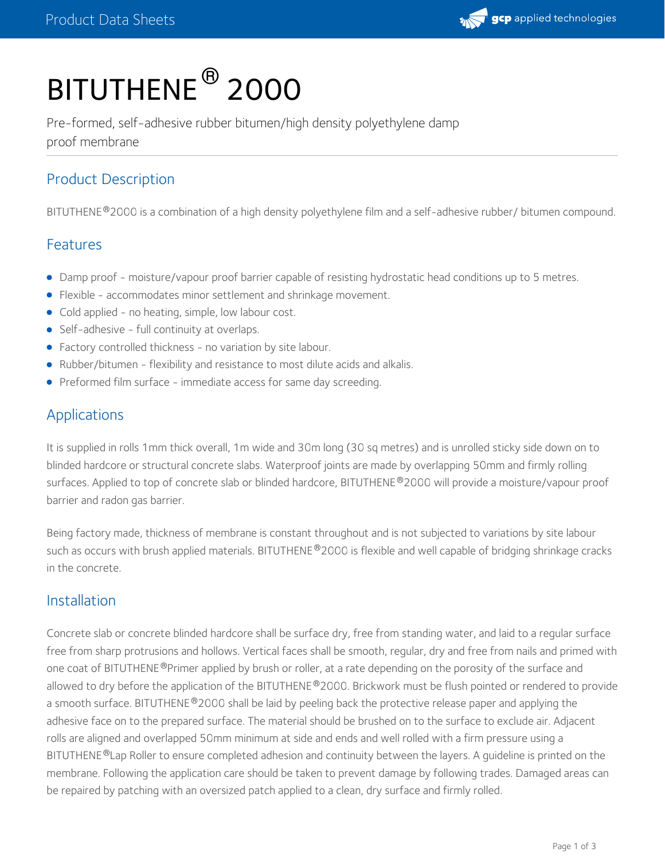

# BITUTHENE ® 2000

Pre-formed, self-adhesive rubber bitumen/high density polyethylene damp proof membrane

# Product Description

BITUTHENE®2000 is a combination of a high density polyethylene film and a self-adhesive rubber/ bitumen compound.

#### Features

- Damp proof moisture/vapour proof barrier capable of resisting hydrostatic head conditions up to 5 metres.
- Flexible accommodates minor settlement and shrinkage movement.
- Cold applied no heating, simple, low labour cost.
- Self-adhesive full continuity at overlaps.
- Factory controlled thickness no variation by site labour.
- Rubber/bitumen flexibility and resistance to most dilute acids and alkalis.
- **•** Preformed film surface immediate access for same day screeding.

## Applications

It is supplied in rolls 1mm thick overall, 1m wide and 30m long (30 sq metres) and is unrolled sticky side down on to blinded hardcore or structural concrete slabs. Waterproof joints are made by overlapping 50mm and firmly rolling surfaces. Applied to top of concrete slab or blinded hardcore, BITUTHENE®2000 will provide a moisture/vapour proof barrier and radon gas barrier.

Being factory made, thickness of membrane is constant throughout and is not subjected to variations by site labour such as occurs with brush applied materials. BITUTHENE®2000 is flexible and well capable of bridging shrinkage cracks in the concrete.

#### Installation

Concrete slab or concrete blinded hardcore shall be surface dry, free from standing water, and laid to a regular surface free from sharp protrusions and hollows. Vertical faces shall be smooth, regular, dry and free from nails and primed with one coat of BITUTHENE®Primer applied by brush or roller, at a rate depending on the porosity of the surface and allowed to dry before the application of the BITUTHENE®2000. Brickwork must be flush pointed or rendered to provide a smooth surface. BITUTHENE®2000 shall be laid by peeling back the protective release paper and applying the adhesive face on to the prepared surface. The material should be brushed on to the surface to exclude air. Adjacent rolls are aligned and overlapped 50mm minimum at side and ends and well rolled with a firm pressure using a BITUTHENE®Lap Roller to ensure completed adhesion and continuity between the layers. A guideline is printed on the membrane. Following the application care should be taken to prevent damage by following trades. Damaged areas can be repaired by patching with an oversized patch applied to a clean, dry surface and firmly rolled.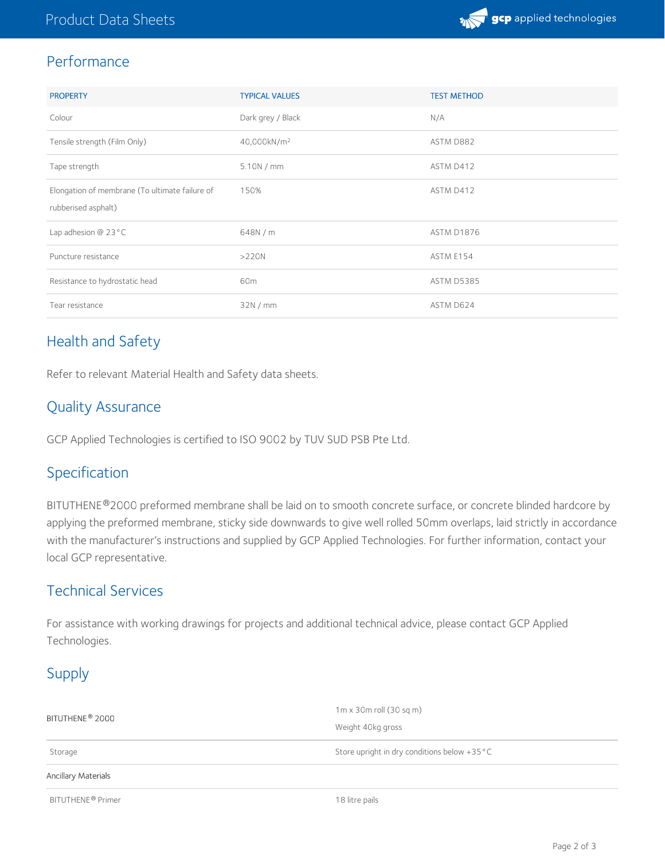

## Performance

| <b>PROPERTY</b>                                | <b>TYPICAL VALUES</b>   | <b>TEST METHOD</b> |
|------------------------------------------------|-------------------------|--------------------|
| Colour                                         | Dark grey / Black       | N/A                |
| Tensile strength (Film Only)                   | 40,000kN/m <sup>2</sup> | ASTM D882          |
| Tape strength                                  | 5.10N/mm                | ASTM D412          |
| Elongation of membrane (To ultimate failure of | 150%                    | ASTM D412          |
| rubberised asphalt)                            |                         |                    |
| Lap adhesion $@$ 23 $°C$                       | 648N / m                | <b>ASTM D1876</b>  |
| Puncture resistance                            | >220N                   | ASTM E154          |
| Resistance to hydrostatic head                 | 60m                     | ASTM D5385         |
| Tear resistance                                | 32N/mm                  | ASTM D624          |

# Health and Safety

Refer to relevant Material Health and Safety data sheets.

# Quality Assurance

GCP Applied Technologies is certified to ISO 9002 by TUV SUD PSB Pte Ltd.

### Specification

BITUTHENE®2000 preformed membrane shall be laid on to smooth concrete surface, or concrete blinded hardcore by applying the preformed membrane, sticky side downwards to give well rolled 50mm overlaps, laid strictly in accordance with the manufacturer's instructions and supplied by GCP Applied Technologies. For further information, contact your local GCP representative.

# Technical Services

For assistance with working drawings for projects and additional technical advice, please contact GCP Applied Technologies.

# Supply

| BITUTHENE <sup>®</sup> 2000   | $1m \times 30m$ roll (30 sq m)               |  |
|-------------------------------|----------------------------------------------|--|
|                               | Weight 40kg gross                            |  |
| Storage                       | Store upright in dry conditions below +35 °C |  |
| Ancillary Materials           |                                              |  |
| BITUTHENE <sup>®</sup> Primer | 18 litre pails                               |  |